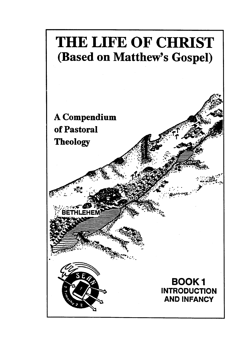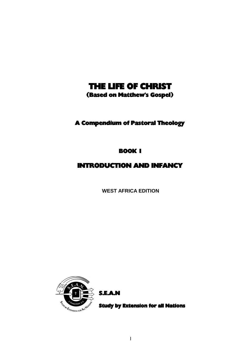# THE LIFE OF CHRIST

(Based on Matthew's Gospel)

## A Compendium of Pastoral Theology

BOOK 1

## INTRODUCTION AND INFANCY

**WEST AFRICA EDITION**



S.E.A.N

Study by Extension for all Nations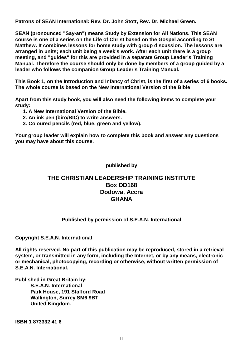**Patrons of SEAN International: Rev. Dr. John Stott, Rev. Dr. Michael Green.**

**SEAN (pronounced "Say-an") means Study by Extension for All Nations. This SEAN course is one of a series on the Life of Christ based on the Gospel according to St Matthew. It combines lessons for home study with group discussion. The lessons are arranged in units; each unit being a week's work. After each unit there is a group meeting, and "guides" for this are provided in a separate Group Leader's Training Manual. Therefore the course should only be done by members of a group guided by a leader who follows the companion Group Leader's Training Manual.**

**This Book 1, on the Introduction and Infancy of Christ, is the first of a series of 6 books. The whole course is based on the New International Version of the Bible**

**Apart from this study book, you will also need the following items to complete your study:**

- **1. A New International Version of the Bible.**
- **2. An ink pen (biro/BIC) to write answers.**
- **3. Coloured pencils (red, blue, green and yellow).**

**Your group leader will explain how to complete this book and answer any questions you may have about this course.**

**published by**

### **THE CHRISTIAN LEADERSHIP TRAINING INSTITUTE Box DD168 Dodowa, Accra GHANA**

### **Published by permission of S.E.A.N. International**

**Copyright S.E.A.N. International**

**All rights reserved. No part of this publication may be reproduced, stored in a retrieval system, or transmitted in any form, including the Internet, or by any means, electronic or mechanical, photocopying, recording or otherwise, without written permission of S.E.A.N. International.**

**Published in Great Britain by: S.E.A.N. International Park House, 191 Stafford Road Wallington, Surrey SM6 9BT United Kingdom.**

**ISBN 1 873332 41 6**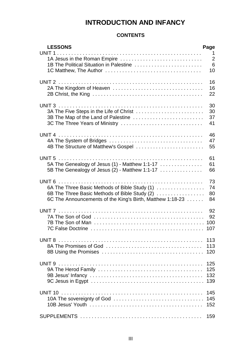## **INTRODUCTION AND INFANCY**

### **CONTENTS**

| <b>LESSONS</b><br>UNIT <sub>1</sub><br>1A Jesus in the Roman Empire<br>1B The Political Situation in Palestine                                              | Page<br>1<br>$\overline{2}$<br>6<br>10 |
|-------------------------------------------------------------------------------------------------------------------------------------------------------------|----------------------------------------|
|                                                                                                                                                             | 16<br>16<br>22                         |
| 3A The Five Steps in the Life of Christ<br>3B The Map of the Land of Palestine<br>3C The Three Years of Ministry                                            | 30<br>30<br>37<br>41                   |
| UNIT <sub>4</sub><br>4B The Structure of Matthew's Gospel                                                                                                   | 46<br>47<br>55                         |
| UNIT <sub>5</sub><br>5A The Genealogy of Jesus (1) - Matthew 1:1-17<br>5B The Genealogy of Jesus (2) - Matthew 1:1-17                                       | 61<br>61<br>66                         |
| 6A The Three Basic Methods of Bible Study (1)<br>6B The Three Basic Methods of Bible Study (2)<br>6C The Announcements of the King's Birth, Matthew 1:18-23 | 73<br>74<br>80<br>84                   |
| UNIT <sub>7</sub>                                                                                                                                           | 92<br>92<br>100<br>107                 |
| UNIT <sub>8</sub>                                                                                                                                           | 113<br>113<br>120                      |
| UNIT <sub>9</sub>                                                                                                                                           | 125<br>125<br>132<br>139               |
| UNIT <sub>10</sub>                                                                                                                                          | 145<br>145<br>152                      |
|                                                                                                                                                             | 159                                    |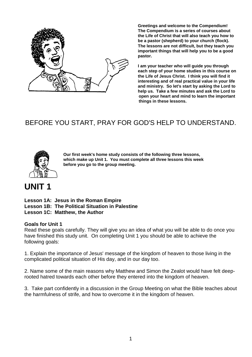

**Greetings and welcome to the Compendium! The Compendium is a series of courses about the Life of Christ that will also teach you how to be a pastor (shepherd) to your church (flock). The lessons are not difficult, but they teach you important things that will help you to be a good pastor.**

**I am your teacher who will guide you through each step of your home studies in this course on the Life of Jesus Christ. I think you will find it interesting and of real practical value in your life and ministry. So let's start by asking the Lord to help us. Take a few minutes and ask the Lord to open your heart and mind to learn the important things in these lessons.**

# BEFORE YOU START, PRAY FOR GOD'S HELP TO UNDERSTAND.



**Our first week's home study consists of the following three lessons, which make up Unit 1. You must complete all three lessons this week before you go to the group meeting.**

# **UNIT 1**

**Lesson 1A: Jesus in the Roman Empire**

**Lesson 1B: The Political Situation in Palestine**

**Lesson 1C: Matthew, the Author**

#### **Goals for Unit 1**

Read these goals carefully. They will give you an idea of what you will be able to do once you have finished this study unit. On completing Unit 1 you should be able to achieve the following goals:

1. Explain the importance of Jesus' message of the kingdom of heaven to those living in the complicated political situation of His day, and in our day too.

2. Name some of the main reasons why Matthew and Simon the Zealot would have felt deeprooted hatred towards each other before they entered into the kingdom of heaven.

3. Take part confidently in a discussion in the Group Meeting on what the Bible teaches about the harmfulness of strife, and how to overcome it in the kingdom of heaven.